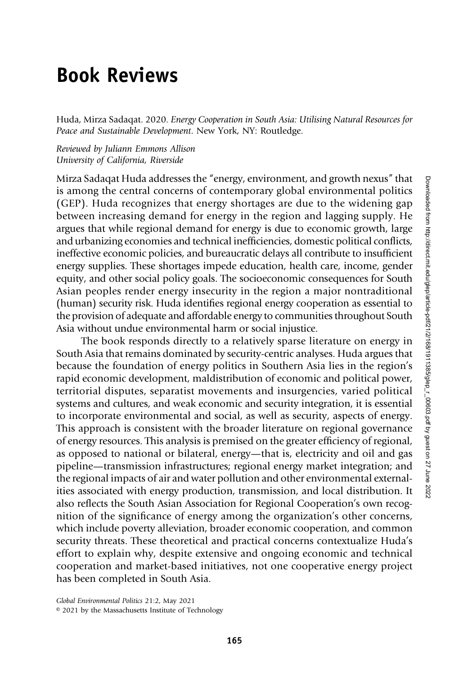## Book Reviews

Huda, Mirza Sadaqat. 2020. Energy Cooperation in South Asia: Utilising Natural Resources for Peace and Sustainable Development. New York, NY: Routledge.

Reviewed by Juliann Emmons Allison University of California, Riverside

Mirza Sadaqat Huda addresses the "energy, environment, and growth nexus" that is among the central concerns of contemporary global environmental politics (GEP). Huda recognizes that energy shortages are due to the widening gap between increasing demand for energy in the region and lagging supply. He argues that while regional demand for energy is due to economic growth, large and urbanizing economies and technical inefficiencies, domestic political conflicts, ineffective economic policies, and bureaucratic delays all contribute to insufficient energy supplies. These shortages impede education, health care, income, gender equity, and other social policy goals. The socioeconomic consequences for South Asian peoples render energy insecurity in the region a major nontraditional (human) security risk. Huda identifies regional energy cooperation as essential to the provision of adequate and affordable energy to communities throughout South Asia without undue environmental harm or social injustice.

The book responds directly to a relatively sparse literature on energy in South Asia that remains dominated by security-centric analyses. Huda argues that because the foundation of energy politics in Southern Asia lies in the region's rapid economic development, maldistribution of economic and political power, territorial disputes, separatist movements and insurgencies, varied political systems and cultures, and weak economic and security integration, it is essential to incorporate environmental and social, as well as security, aspects of energy. This approach is consistent with the broader literature on regional governance of energy resources. This analysis is premised on the greater efficiency of regional, as opposed to national or bilateral, energy—that is, electricity and oil and gas pipeline—transmission infrastructures; regional energy market integration; and the regional impacts of air and water pollution and other environmental externalities associated with energy production, transmission, and local distribution. It also reflects the South Asian Association for Regional Cooperation's own recognition of the significance of energy among the organization's other concerns, which include poverty alleviation, broader economic cooperation, and common security threats. These theoretical and practical concerns contextualize Huda's effort to explain why, despite extensive and ongoing economic and technical cooperation and market-based initiatives, not one cooperative energy project has been completed in South Asia.

Global Environmental Politics 21:2, May 2021

<sup>© 2021</sup> by the Massachusetts Institute of Technology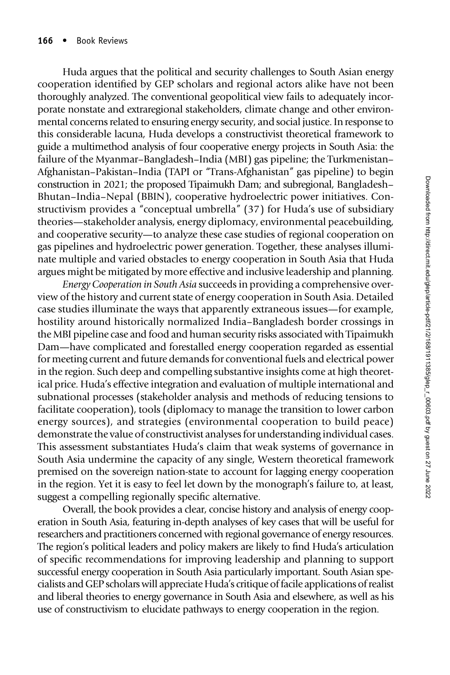Huda argues that the political and security challenges to South Asian energy cooperation identified by GEP scholars and regional actors alike have not been thoroughly analyzed. The conventional geopolitical view fails to adequately incorporate nonstate and extraregional stakeholders, climate change and other environmental concerns related to ensuring energy security, and social justice. In response to this considerable lacuna, Huda develops a constructivist theoretical framework to guide a multimethod analysis of four cooperative energy projects in South Asia: the failure of the Myanmar–Bangladesh–India (MBI) gas pipeline; the Turkmenistan– Afghanistan–Pakistan–India (TAPI or "Trans-Afghanistan" gas pipeline) to begin construction in 2021; the proposed Tipaimukh Dam; and subregional, Bangladesh– Bhutan–India–Nepal (BBIN), cooperative hydroelectric power initiatives. Constructivism provides a "conceptual umbrella" (37) for Huda's use of subsidiary theories—stakeholder analysis, energy diplomacy, environmental peacebuilding, and cooperative security—to analyze these case studies of regional cooperation on gas pipelines and hydroelectric power generation. Together, these analyses illuminate multiple and varied obstacles to energy cooperation in South Asia that Huda argues might be mitigated by more effective and inclusive leadership and planning.

Energy Cooperation in South Asia succeeds in providing a comprehensive overview of the history and current state of energy cooperation in South Asia. Detailed case studies illuminate the ways that apparently extraneous issues—for example, hostility around historically normalized India–Bangladesh border crossings in the MBI pipeline case and food and human security risks associated with Tipaimukh Dam—have complicated and forestalled energy cooperation regarded as essential for meeting current and future demands for conventional fuels and electrical power in the region. Such deep and compelling substantive insights come at high theoretical price. Huda's effective integration and evaluation of multiple international and subnational processes (stakeholder analysis and methods of reducing tensions to facilitate cooperation), tools (diplomacy to manage the transition to lower carbon energy sources), and strategies (environmental cooperation to build peace) demonstrate the value of constructivist analyses for understanding individual cases. This assessment substantiates Huda's claim that weak systems of governance in South Asia undermine the capacity of any single, Western theoretical framework premised on the sovereign nation-state to account for lagging energy cooperation in the region. Yet it is easy to feel let down by the monograph's failure to, at least, suggest a compelling regionally specific alternative.

Overall, the book provides a clear, concise history and analysis of energy cooperation in South Asia, featuring in-depth analyses of key cases that will be useful for researchers and practitioners concerned with regional governance of energy resources. The region's political leaders and policy makers are likely to find Huda's articulation of specific recommendations for improving leadership and planning to support successful energy cooperation in South Asia particularly important. South Asian specialists and GEP scholars will appreciate Huda's critique of facile applications of realist and liberal theories to energy governance in South Asia and elsewhere, as well as his use of constructivism to elucidate pathways to energy cooperation in the region.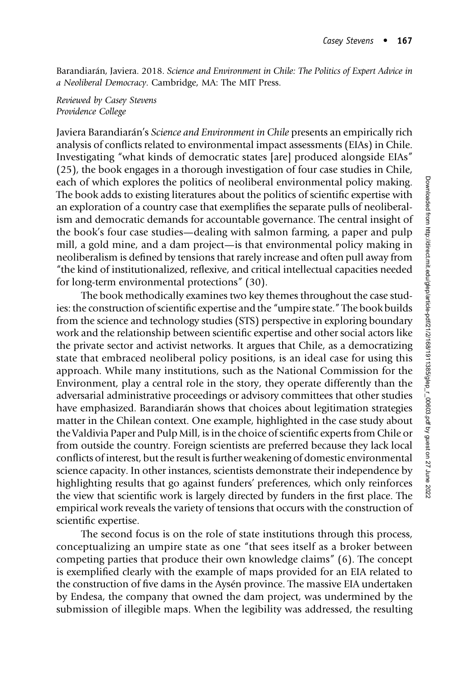Barandiarán, Javiera. 2018. Science and Environment in Chile: The Politics of Expert Advice in a Neoliberal Democracy. Cambridge, MA: The MIT Press.

Reviewed by Casey Stevens Providence College

Javiera Barandiarán's Science and Environment in Chile presents an empirically rich analysis of conflicts related to environmental impact assessments (EIAs) in Chile. Investigating "what kinds of democratic states [are] produced alongside EIAs" (25), the book engages in a thorough investigation of four case studies in Chile, each of which explores the politics of neoliberal environmental policy making. The book adds to existing literatures about the politics of scientific expertise with an exploration of a country case that exemplifies the separate pulls of neoliberalism and democratic demands for accountable governance. The central insight of the book's four case studies—dealing with salmon farming, a paper and pulp mill, a gold mine, and a dam project—is that environmental policy making in neoliberalism is defined by tensions that rarely increase and often pull away from "the kind of institutionalized, reflexive, and critical intellectual capacities needed for long-term environmental protections" (30).

The book methodically examines two key themes throughout the case studies: the construction of scientific expertise and the "umpire state." The book builds from the science and technology studies (STS) perspective in exploring boundary work and the relationship between scientific expertise and other social actors like the private sector and activist networks. It argues that Chile, as a democratizing state that embraced neoliberal policy positions, is an ideal case for using this approach. While many institutions, such as the National Commission for the Environment, play a central role in the story, they operate differently than the adversarial administrative proceedings or advisory committees that other studies have emphasized. Barandiarán shows that choices about legitimation strategies matter in the Chilean context. One example, highlighted in the case study about the Valdivia Paper and Pulp Mill, is in the choice of scientific experts from Chile or from outside the country. Foreign scientists are preferred because they lack local conflicts of interest, but the result is further weakening of domestic environmental science capacity. In other instances, scientists demonstrate their independence by highlighting results that go against funders' preferences, which only reinforces the view that scientific work is largely directed by funders in the first place. The empirical work reveals the variety of tensions that occurs with the construction of scientific expertise.

The second focus is on the role of state institutions through this process, conceptualizing an umpire state as one "that sees itself as a broker between competing parties that produce their own knowledge claims" (6). The concept is exemplified clearly with the example of maps provided for an EIA related to the construction of five dams in the Aysén province. The massive EIA undertaken by Endesa, the company that owned the dam project, was undermined by the submission of illegible maps. When the legibility was addressed, the resulting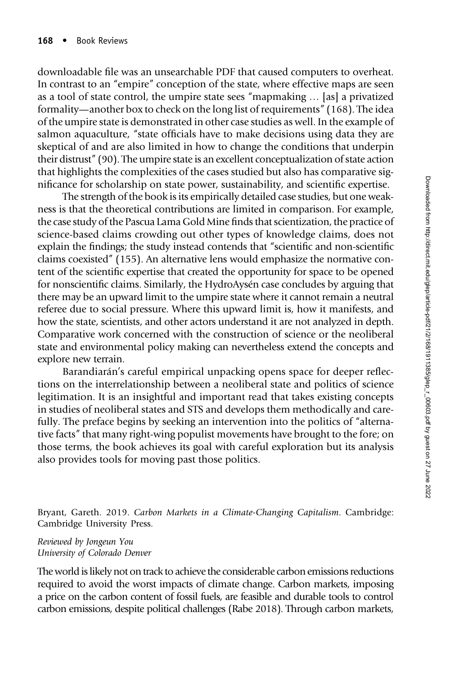downloadable file was an unsearchable PDF that caused computers to overheat. In contrast to an "empire" conception of the state, where effective maps are seen as a tool of state control, the umpire state sees "mapmaking … [as] a privatized formality—another box to check on the long list of requirements" (168). The idea of the umpire state is demonstrated in other case studies as well. In the example of salmon aquaculture, "state officials have to make decisions using data they are skeptical of and are also limited in how to change the conditions that underpin their distrust" (90). The umpire state is an excellent conceptualization of state action that highlights the complexities of the cases studied but also has comparative significance for scholarship on state power, sustainability, and scientific expertise.

The strength of the book is its empirically detailed case studies, but one weakness is that the theoretical contributions are limited in comparison. For example, the case study of the Pascua Lama Gold Mine finds that scientization, the practice of science-based claims crowding out other types of knowledge claims, does not explain the findings; the study instead contends that "scientific and non-scientific claims coexisted" (155). An alternative lens would emphasize the normative content of the scientific expertise that created the opportunity for space to be opened for nonscientific claims. Similarly, the HydroAysén case concludes by arguing that there may be an upward limit to the umpire state where it cannot remain a neutral referee due to social pressure. Where this upward limit is, how it manifests, and how the state, scientists, and other actors understand it are not analyzed in depth. Comparative work concerned with the construction of science or the neoliberal state and environmental policy making can nevertheless extend the concepts and explore new terrain.

Barandiarán's careful empirical unpacking opens space for deeper reflections on the interrelationship between a neoliberal state and politics of science legitimation. It is an insightful and important read that takes existing concepts in studies of neoliberal states and STS and develops them methodically and carefully. The preface begins by seeking an intervention into the politics of "alternative facts" that many right-wing populist movements have brought to the fore; on those terms, the book achieves its goal with careful exploration but its analysis also provides tools for moving past those politics.

Bryant, Gareth. 2019. Carbon Markets in a Climate-Changing Capitalism. Cambridge: Cambridge University Press.

Reviewed by Jongeun You University of Colorado Denver

The world is likely not on track to achieve the considerable carbon emissions reductions required to avoid the worst impacts of climate change. Carbon markets, imposing a price on the carbon content of fossil fuels, are feasible and durable tools to control carbon emissions, despite political challenges (Rabe 2018). Through carbon markets,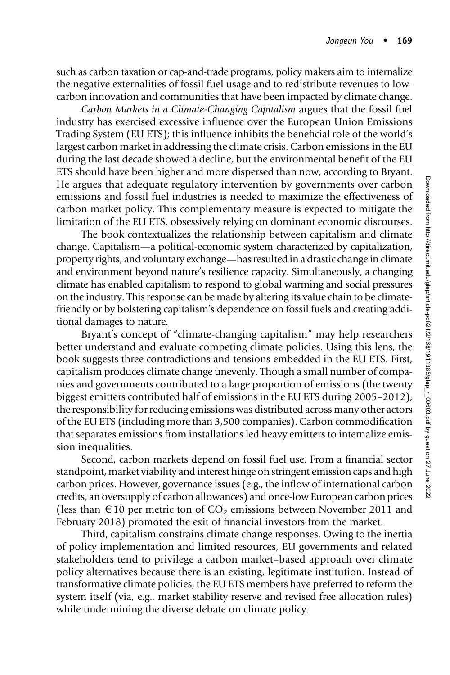such as carbon taxation or cap-and-trade programs, policy makers aim to internalize the negative externalities of fossil fuel usage and to redistribute revenues to lowcarbon innovation and communities that have been impacted by climate change.

Carbon Markets in a Climate-Changing Capitalism argues that the fossil fuel industry has exercised excessive influence over the European Union Emissions Trading System (EU ETS); this influence inhibits the beneficial role of the world's largest carbon market in addressing the climate crisis. Carbon emissions in the EU during the last decade showed a decline, but the environmental benefit of the EU ETS should have been higher and more dispersed than now, according to Bryant. He argues that adequate regulatory intervention by governments over carbon emissions and fossil fuel industries is needed to maximize the effectiveness of carbon market policy. This complementary measure is expected to mitigate the limitation of the EU ETS, obsessively relying on dominant economic discourses.

The book contextualizes the relationship between capitalism and climate change. Capitalism—a political-economic system characterized by capitalization, property rights, and voluntary exchange—has resulted in a drastic change in climate and environment beyond nature's resilience capacity. Simultaneously, a changing climate has enabled capitalism to respond to global warming and social pressures on the industry. This response can be made by altering its value chain to be climatefriendly or by bolstering capitalism's dependence on fossil fuels and creating additional damages to nature.

Bryant's concept of "climate-changing capitalism" may help researchers better understand and evaluate competing climate policies. Using this lens, the book suggests three contradictions and tensions embedded in the EU ETS. First, capitalism produces climate change unevenly. Though a small number of companies and governments contributed to a large proportion of emissions (the twenty biggest emitters contributed half of emissions in the EU ETS during 2005–2012), the responsibility for reducing emissions was distributed across many other actors of the EU ETS (including more than 3,500 companies). Carbon commodification that separates emissions from installations led heavy emitters to internalize emission inequalities.

Second, carbon markets depend on fossil fuel use. From a financial sector standpoint, market viability and interest hinge on stringent emission caps and high carbon prices. However, governance issues (e.g., the inflow of international carbon credits, an oversupply of carbon allowances) and once-low European carbon prices (less than  $\epsilon$  10 per metric ton of CO<sub>2</sub> emissions between November 2011 and February 2018) promoted the exit of financial investors from the market.

Third, capitalism constrains climate change responses. Owing to the inertia of policy implementation and limited resources, EU governments and related stakeholders tend to privilege a carbon market–based approach over climate policy alternatives because there is an existing, legitimate institution. Instead of transformative climate policies, the EU ETS members have preferred to reform the system itself (via, e.g., market stability reserve and revised free allocation rules) while undermining the diverse debate on climate policy.